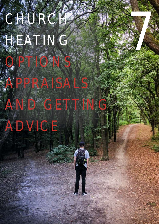# CHURCH HEATING

OPTIONS

AND GET

PAIS

7

## ADVICE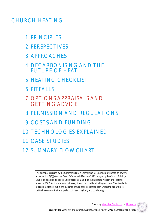### CHURCH HEATING

- 1 PRINCIPLES
- 2 PERSPECTIVES
- 3 APPROACHES
- 4 DECARBONISING AND THE FUTURE OF HEAT
- 5 HEATING CHECKLIST
- 6 PITFALLS
- 7 OPTIONS APPRAISALS AND GETTING ADVICE
- 8 PERMISSION AND REGULATIONS
- 9 COSTS AND FUNDING
- 10 TECHNOLOGIES EXPLAINED
- 11 CASE STUDIES
- 12 SUMMARY FLOWCHART

*This guidance is issued by the Cathedrals Fabric Commission for England pursuant to its powers under section 3(3)(a) of the Care of Cathedrals Measure 2011, and/or by the Church Buildings Council pursuant to its powers under section 55(1)(d) of the Dioceses, Mission and Pastoral Measure 2007. As it is statutory guidance, it must be considered with great care. The standards of good practice set out in the guidance should not be departed from unless the departure is justified by reasons that are spelled out clearly, logically and convincingly.*

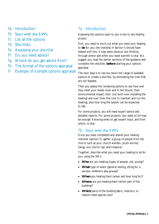7a Introduction

#### 7b Start with the 5 W's

- 7c List all the options
- 7d Shortlists
- 7e Assessing your shortlist
- 7f Do you need advice?
- 7g Where do you get advice from?
- 7h The format of the options appraisal
- 7i Example of a simple options appraisal

#### 7a Introduction

Assessing the options open to you is key to any heating project.

First, you need to work out what you need your heating to **do** for you; the checklist in Section 5 should have helped with this. It may seem obvious, but thinking through where and when you need warmth is vital. We suggest you read the earlier sections of the guidance and complete the checklist, **before** starting your options appraisal.

The next step is to narrow down the range of available options to create a shortlist, by eliminating the ones that are not feasible.

Then you assess the remaining options to see how well they meet your needs (now and in the future), their environmental impact, their cost both now (installing the heating) and over time (the cost to maintain and run the heating), plus how long the system can be expected to last.

For some projects, you will need expert advice and detailed reports. For some projects, two sides of A4 may be enough. Knowing when to get expert input, and from whom, is vital.

#### 7b Start with the 5 W's

Once you have completed and shared your heating checklist (section 5), gather a group of people from the church such as your church warden, youth worker, clergy, eco church rep, and treasurer.

Together, describe what you need your heating to *do* for you, using the 5Ws:

- **Who** are you heating (types of people, old, young)?
- **What** type of event (general visiting, sitting for a service, children's play group)?
- **When** you heating them (when and how long for)?
- **Where** are you heating them (which part of the building)?
- **Which** parts of the building fabric, interiors, or objects need special care?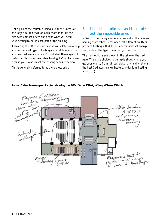Get a plan of the church building(s), either printed out at a large size or drawn on a flip chart. Mark up the plan with coloured pens and define what you need your heating to do, in each part of the building.

Answering the 5W questions above will – later on – help you decide what type of heating and what temperature you need, where and when. Do not start thinking about boilers, radiators, or any other heating 'kit' until you are clear in your minds what the heating needs to achieve.

This is generally referred to as the project brief.

#### 7c List all the options – and then rule out the impossible ones

In Section 3 of this guidance you can find all the different heating approaches. Remember that different emitters produce heating with different effects, and that energy sources limit the type of emitter you can use.

The main options are shown in the table on the next page. There are choices to be made about where you get your energy from (oil, gas, electricity) and what emits the heat (radiators, panels heaters, underfloor heating, and so on).



Below: **A simple example of a plan showing the 5Ws: Who, What, When, Where, Which.**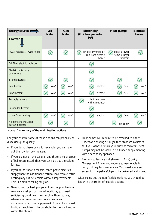| Energy source <b>■</b>                     | Oil<br>boiler             | Gas<br>boiler | Electricity<br>(Grid and/or solar<br>PV)           | Heat pumps                                                   | <b>Biomass</b><br>boiler |
|--------------------------------------------|---------------------------|---------------|----------------------------------------------------|--------------------------------------------------------------|--------------------------|
| Emitter $\Gamma$                           |                           |               |                                                    |                                                              |                          |
| 'Wet' radiators - water filled             | $\left(\checkmark\right)$ | $\checkmark$  | can be converted or<br>run from electric<br>boiler | but at a lower<br>$\checkmark$<br>temp > larger<br>radiators |                          |
| Oil filled electric radiators              |                           |               |                                                    |                                                              |                          |
| Electric radiators /<br>convectors         |                           |               |                                                    |                                                              |                          |
| <b>Trench heaters</b>                      |                           |               |                                                    |                                                              |                          |
| Pew heater                                 | 'wet'                     | 'wet'         | electric                                           | 'wet'                                                        | 'wet'                    |
| Panel heaters                              | 'wet'                     | 'wet'         | electric                                           | 'wet'                                                        | 'wet'                    |
| Portable heaters                           |                           |               | (but take care<br>with cables etc)                 |                                                              |                          |
| Suspended heaters                          |                           |               |                                                    |                                                              |                          |
| Underfloor heating                         | 'wet'                     | 'wet'         | electric                                           | 'wet'                                                        | 'wet'                    |
| Air blowers (including<br>curtain heaters) |                           |               |                                                    | 'air to air'                                                 |                          |

Above: **A summary of the main heating options**

For your church, some of these options can probably be dismissed quite quickly.

- If you do not have pews, for example, you can rule out the row for pew heaters.
- If you are not on the gas grid, and there is no prospect of being connected, then you can rule out the column for gas.
- If you do not have a reliable, three-phase electrical supply then the additional electrical load from electric heating may not be feasible without improvements. This is worth checking early on.
- Ground source heat pumps will only be possible in a relatively small proportion of locations; you need sufficient ground near the church without burials, where you can either sink boreholes or run underground horizontal pipework. You will also need to dig a trench from the boreholes to the plant room within the church.
- Heat pumps will require to be attached to either underfloor heating or larger than standard radiators, so if you want to retain your current radiators, heat pumps may not be viable, or will need supplementing with a secondary approach.
- Biomass boilers are not allowed in Air Quality Management Areas, and require someone able to carry out regular maintenance. You need space and access for the pellets/chips to be delivered and stored.

After ruling out the non-feasible options, you should be left with a short list of feasible options.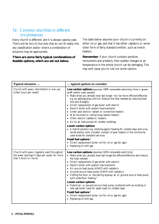#### 7d Common shortlists in different circumstances

Every church is different, and it is always case-by-case. There will be lots of churches that do not fit neatly into any classification and/or where a combination of solutions may be appropriate.

**There are some fairly typical combinations of feasible options, which are set out below.** 

The table below assumes your church is currently on either oil or gas, and that it has either radiators or some other form of fairly standard emitter, such as trench heaters.

**Remember**: if your church contains sensitive monuments and artefacts, then sudden changes to air temperature in the whole church can be damaging. This may well cause you to rule out some options.

| Typical situation                                                                                                   | typical options to consider                                                                                                                                                                                                                                                                                                                                                                                                                                                                                                                                                                                                                                                                                                                                                                                                                                                                                                |  |
|---------------------------------------------------------------------------------------------------------------------|----------------------------------------------------------------------------------------------------------------------------------------------------------------------------------------------------------------------------------------------------------------------------------------------------------------------------------------------------------------------------------------------------------------------------------------------------------------------------------------------------------------------------------------------------------------------------------------------------------------------------------------------------------------------------------------------------------------------------------------------------------------------------------------------------------------------------------------------------------------------------------------------------------------------------|--|
| Church with pews, intermittent or low use<br>(a few hours per week)                                                 | Low carbon options (assumes 100% renewable electricity, from a 'green<br>tariff and/or solar panels)<br>• Make what you already have last longer +/or be more efficient/effective<br>e.g. by adding/using controls. Reduce the heat needed by reducing heat<br>loss and draughts.<br>• Direct replacement of gas boiler with electric<br>• Electric boiler with system improvements<br>• Under pew electric radiant or convective heaters<br>• Wall mounted or ceiling hung radiant heaters<br>• Other electric radiators / heaters<br>• Air-to-air heat pumps for smaller buildings<br>Lower-carbon options<br>• A hybrid solution e.g. retaining gas/oil heating for coldest days and occa-<br>sional events, with a smaller number of pew heaters in the commonly-<br>used areas for standard services<br>Fossil fuel options *<br>• Direct replacement boiler (oil-for-oil or gas-for-gas)<br>• Replacing oil with gas |  |
| Church with pews, regularly used throughout<br>the week (perhaps 5 days per week, for more<br>than 3 hours or more) | Low carbon options (assumes 100% renewable electricity)<br>• Make what you already have last longer/be efficient/effective and reduce<br>the heat needed<br>• Direct replacement of gas boiler with electric<br>• Electric boiler with system improvements<br>• Air source heat pump (ASHP) with radiators<br>• Ground source heat pump (GSHP) with radiators<br>• If lifting the floor or reordering anyway: air or ground source heat pump<br>with underfloor heating \$<br>Lower-carbon options<br>• Hybrid air- or ground-source heat pump combined with an existing or<br>new gas boiler used for peak loads on coldest days<br>Fossil fuel options *<br>• Direct replacement boiler (oil-for-oil or gas-for-gas)<br>• Replacing oil with gas                                                                                                                                                                         |  |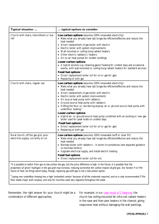| Typical situation                                                             | typical options to consider                                                                                                                                                                                                                                                                                                                                                                                                                                                                                                                                                                                                                                                                                                          |  |
|-------------------------------------------------------------------------------|--------------------------------------------------------------------------------------------------------------------------------------------------------------------------------------------------------------------------------------------------------------------------------------------------------------------------------------------------------------------------------------------------------------------------------------------------------------------------------------------------------------------------------------------------------------------------------------------------------------------------------------------------------------------------------------------------------------------------------------|--|
| Church with chairs, intermittent or low<br>use                                | Low carbon options (assumes 100% renewable electricity)<br>• Make what you already have last longer/be efficient/effective and reduce the<br>heat needed<br>• Direct replacement of gas boiler with electric<br>• Electric boiler with system improvements<br>• Wall mounted or ceiling hung radiant heaters<br>• Other electric radiators / heaters<br>• Air-to-air heat pumps for smaller buildings<br>Lower-carbon options<br>• A hybrid solution e.g. retaining gas/oil heating for coldest days and occasional<br>events, with wall-mounted or ceiling-hung radiant heaters for standard services<br>Fossil fuel options *<br>• Direct replacement boiler (oil for oil or gas for gas)<br>• Replacing oil with gas              |  |
| Church with chairs, regular use                                               | Low carbon options (assumes 100% renewable electricity)<br>• Make what you already have last longer/be efficient/effective and reduce the<br>heat needed<br>• Direct replacement of gas boiler with electric<br>• Electric boiler with system improvements<br>• Air source heat pump with radiators<br>• Ground source heat pump with radiators<br>• If lifting the floor or reordering anyway: air or ground source heat pump with<br>underfloor heating \$<br>Lower-carbon options<br>• Hybrid air- or ground-source heat pump combined with an existing or new gas<br>boiler used for peak loads on coldest days<br>Fossil fuel options *<br>• Direct replacement boiler (oil for oil or gas for gas)<br>• Replacing oil with gas |  |
| Rural church, off the gas grid, poor<br>electricity supply, currently on oil. | Low carbon options (assumes 100% renewable tariff or solar PV)<br>• Make what you already have last longer/be efficient/effective and reduce the<br>heat needed<br>• Biomass boiler with radiators - in some circumstances (see separate guidance<br>on biomass boilers)<br>• Upgrade electrical supply, and install electric heating<br>Fossil fuel options<br>Direct replacement boiler (oil-for-oil)                                                                                                                                                                                                                                                                                                                              |  |

*\*It is possible to switch from gas to low-carbon bio-gas, but the price difference is high. In the future, it is possible that the proportion of 'green' hydrogen in the gas grid may increase, reducing somewhat the carbon impact of grid gas. See Section 4 on the future of heat. As things stand today, though, replacing gas-with-gas is not a low-carbon option.*

\$ *Laying new underfloor heating has a high 'embodied carbon' because of all the materials required, and so is only recommended if the floor needs major work anyway, and only for churches used very regularly throughout the week.* 

Remember, the right answer for your church might be a combination of different approaches.

For example, in our [case study of Chalgrove,](https://www.churchofengland.org/sites/default/files/2020-05/Chalgrove%20church%20electric%20radiant%20and%20pew%20heating%20FINAL%20April%202020.pdf) the church has ceiling-mounted far-infra-red radiant heaters in the nave and then pew heaters in the chancel, giving responsive heat without damaging the wall paintings.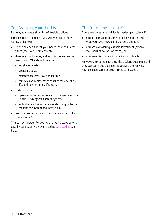#### 7e Assessing your shortlist

By now, you have a short list of feasible options.

For each option remining, you will want to consider a variety of factors:

- How well does it meet your needs, now and in the future (the 5Ws, from earlier)?
- How much will it cost, and what is the 'return on investment'? This should consider:
	- installation costs
	- operating costs
	- maintenance costs over its lifetime
	- removal and replacement costs at the end of its life, and how long this lifetime is.
- Carbon footprint
	- operational carbon the electricity, gas or oil used to run it. Savings vs. current system.
	- \* embodied carbon the materials that go into the creating the system and installing it.
- Ease of maintenance are there sufficient firms locally to maintain it?

The correct answer for your church will always be on a case-by-case basis. However, reading [case studies](https://www.churchofengland.org/resources/churchcare/advice-and-guidance-church-buildings/heating) can help.

#### 7f Do you need advice?

There are times when advice is needed, particularly if:

- You are considering something very different from what you have now, and are unsure about it,
- You are considering a sizable investment (several thousands of pounds or more), or
- You have historic fabric, interiors, or objects.

However, for some churches, the options are simple and they can carry out the required analysis themselves, having gained some quotes from local installers.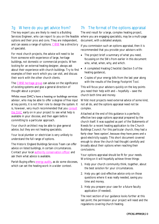#### 7g Where do you get advice from?

The key expert you are likely to need is a Building Services Engineer, who can report to you on the feasible options and their pros and cons. They are independent, and can assess a range of options. [CIBSE](https://www.cibse.org/building-services/find-a-specialist) has a directory of specialist.

For most church projects, the advice will need to be from someone with experience of large, heritage buildings, not domestic or commercial projects. When looking for an external heating designer, always ask about their experience with church buildings. Try to find examples of their work which you can visit, and discuss their work with the other church clients.

The [CIBSE heritage group](http://www.hevac-heritage.org/) can advise on the significance of existing systems and give a general direction of thought about a project:

Whilst most DAC's have a heating or buildings services advisor, who may be able to offer a degree of free input at key points, it is not their role to design the system. It is, however, very much recommended that you [consult](https://www.churchofengland.org/resources/churchcare/church-buildings-council/how-we-manage-our-buildings/diocesan-advisory)  [the DAC](https://www.churchofengland.org/resources/churchcare/church-buildings-council/how-we-manage-our-buildings/diocesan-advisory) early on in your project to see what help is available in your diocese, and then again before committing to a particular approach.

Your church architect may be able to give general advice, but they are not heating specialists.

Your local plumber or electrician is very unlikely to understand the full range of options.

The Historic England Buildings Services Team can offer advice on listed buildings, in certain circumstances. Contact your local [authority conservation officer](https://historicengland.org.uk/advice/your-home/making-changes-your-property/local-authority/) and ask them what advice is available.

Parish Buying offers [energy audits,](https://www.parishbuying.org.uk/categories/energy/energy-basket/audit) as do some dioceses, which can set the heating work in a wider context.

#### 7h The format of the options appraisal

The end result for a large, complex heating project, where you are engaging specialists, may be a multi-page document, with a detailed analysis.

If you commission such an options appraisal, then it is recommended that you provide your advisors with:

- The project brief: a summary of what you need, focussing on the 5Ws from earlier in this document: who, what, when, why, and which.
- A completed Heating Checklist (Section 5 of the heating guidance),
- Copies of your energy bills from the last year along with the results of the Energy Footprint Tool.

This will focus your advisors quickly on the key points you need their help with and – hopefully – save the church both time and money.

Whilst most projects need external advice of some kind, not all do, and the options appraisal need not be complex.

Attached at the end of this guidance is a perfectly effective two-page options appraisal prepared by the church itself. It was supplied as part of the Statements of Needs for a recent heating application to the Church Buildings Council. For this particular church, they had a fairly clear 'best option', because they have pews and a good electricity supply. This short document covered enough to show the church had thought carefully and broadly about their options when reaching their conclusions.

Your options appraisal should be fit for your needs. Working on it will hopefully achieve three things:

- 1. Help your church community think, together, about the best solution for your circumstances.
- 2. Help you get cost-effective advice only on those questions where it was really needed, saving you time and money.
- 3. Help you prepare your case for a future faculty application (if needed).

The next section of our guidance looks further at this last point; the permission your project will need and the regulations covering church heating.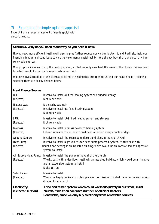#### 7i Example of a simple options appraisal

Excerpt from a recent statement of needs applying for electric heating.

#### **Section 4. Why do you need it and why do you need it now?**

Having new, more efficient heating will also help us further reduce our carbon footprint, and it will also help our financial situation and contribute towards environmental sustainability. We already buy all of our electricity from renewable sources.

Our proposal includes zoning the heating system, so that we only ever heat the areas of the church that we need to, which would further reduce our carbon footprint.

We have investigated all of the alternative forms of heating that are open to us, and our reasoning for rejecting / selecting them are briefly detailed below:

| <b>Heat Energy Source:</b>                |                                                                                                                                                                                                                                                                          |
|-------------------------------------------|--------------------------------------------------------------------------------------------------------------------------------------------------------------------------------------------------------------------------------------------------------------------------|
| Oil:<br>(Rejected)                        | Invasive to install oil fired heating system and bunded storage<br>Not renewable                                                                                                                                                                                         |
| Natural Gas:<br>(Rejected)                | No nearby gas main<br>Invasive to install gas fired heating system<br>Not renewable                                                                                                                                                                                      |
| LPG:<br>(Rejected)                        | Invasive to install LPG fired heating system and storage<br>Not renewable                                                                                                                                                                                                |
| Biomass:<br>(Rejected)                    | Invasive to install biomass powered heating system<br>Labour intensive to run, as it would need attention every couple of days                                                                                                                                           |
| Ground Source<br>Heat Pump:<br>(Rejected) | Invasive to install the requisite underground pipes in the churchyard<br>Invasive to install a ground source heat pump powered system. Works best with<br>under-floor heating in an insulated building, which would be an invasive and an expensive<br>system to install |
| Air Source Heat Pump:<br>(Rejected)       | Invasive to install the pump in the wall of the church<br>Works best with under-floor heating in an insulated building, which would be an invasive<br>and an expensive system to install<br>Noisy to run                                                                 |
| Solar Panels:<br>(Rejected)               | Invasive to install<br>Would be highly unlikely to obtain planning permission to install them on the roof of our<br>Grade I listed church                                                                                                                                |
| Electricity:<br>(Selected Option)         | Tried and tested system which could work adequately in our small, rural<br>church, if we fit an adequate number of efficient heaters.<br>Renewable, since we only buy electricity from renewable sources                                                                 |